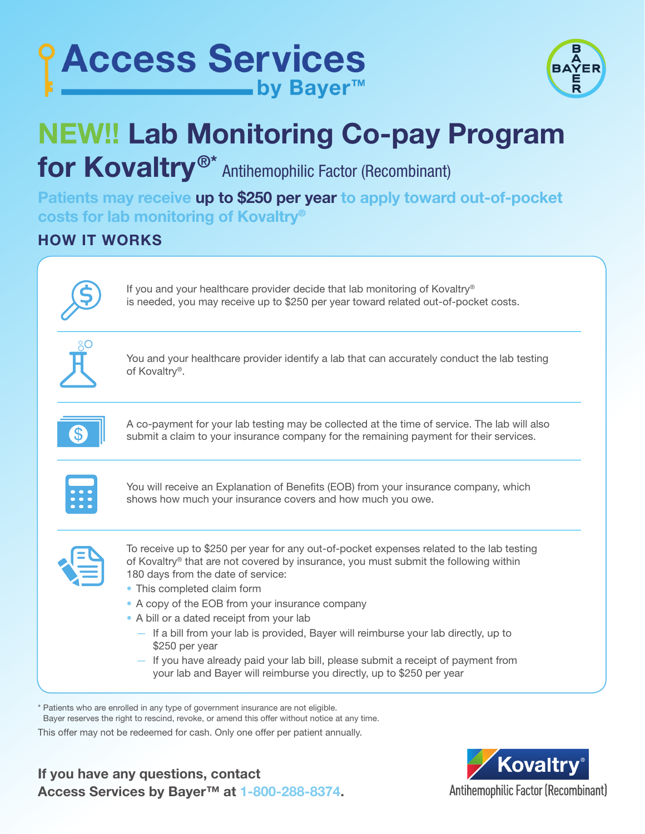



## NEW!! Lab Monitoring Co-pay Program

for Kovaltry<sup>®\*</sup> Antihemophilic Factor (Recombinant)

Patients may receive up to \$250 per year to apply toward out-of-pocket costs for lab monitoring of Kovaltry®

HOW IT WORKS

If you and your healthcare provider decide that lab monitoring of Kovaltry® is needed, you may receive up to \$250 per year toward related out-of-pocket costs.

You and your healthcare provider identify a lab that can accurately conduct the lab testing of Kovaltry®.



A co-payment for your lab testing may be collected at the time of service. The lab will also submit a claim to your insurance company for the remaining payment for their services.



You will receive an Explanation of Benefits (EOB) from your insurance company, which shows how much your insurance covers and how much you owe.



To receive up to \$250 per year for any out-of-pocket expenses related to the lab testing of Kovaltry® that are not covered by insurance, you must submit the following within 180 days from the date of service:

- This completed claim form
- A copy of the EOB from your insurance company
- A bill or a dated receipt from your lab
	- If a bill from your lab is provided, Bayer will reimburse your lab directly, up to \$250 per year
	- If you have already paid your lab bill, please submit a receipt of payment from your lab and Bayer will reimburse you directly, up to \$250 per year

\* Patients who are enrolled in any type of government insurance are not eligible.

Bayer reserves the right to rescind, revoke, or amend this offer without notice at any time.

This offer may not be redeemed for cash. Only one offer per patient annually.